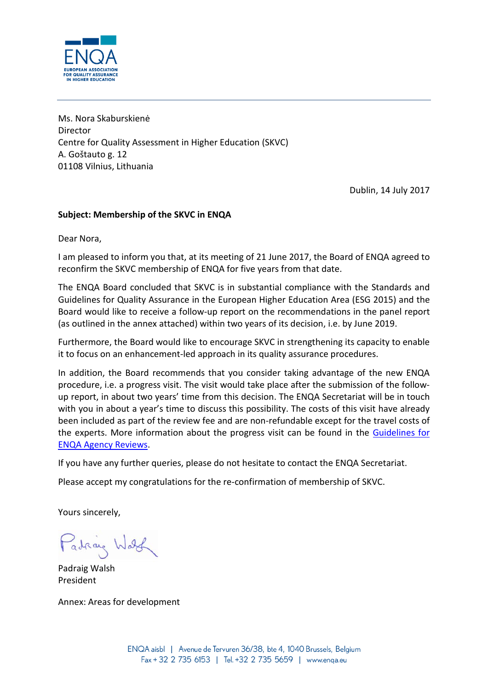

Ms. Nora Skaburskienė Director Centre for Quality Assessment in Higher Education (SKVC) A. Goštauto g. 12 01108 Vilnius, Lithuania

Dublin, 14 July 2017

## **Subject: Membership of the SKVC in ENQA**

Dear Nora,

I am pleased to inform you that, at its meeting of 21 June 2017, the Board of ENQA agreed to reconfirm the SKVC membership of ENQA for five years from that date.

The ENQA Board concluded that SKVC is in substantial compliance with the Standards and Guidelines for Quality Assurance in the European Higher Education Area (ESG 2015) and the Board would like to receive a follow-up report on the recommendations in the panel report (as outlined in the annex attached) within two years of its decision, i.e. by June 2019.

Furthermore, the Board would like to encourage SKVC in strengthening its capacity to enable it to focus on an enhancement-led approach in its quality assurance procedures.

In addition, the Board recommends that you consider taking advantage of the new ENQA procedure, i.e. a progress visit. The visit would take place after the submission of the followup report, in about two years' time from this decision. The ENQA Secretariat will be in touch with you in about a year's time to discuss this possibility. The costs of this visit have already been included as part of the review fee and are non-refundable except for the travel costs of the experts. More information about the progress visit can be found in the [Guidelines for](http://www.enqa.eu/indirme/papers-and-reports/occasional-papers/Guidelines%20for%20ENQA%20Agency%20Reviews.pdf)  [ENQA Agency Reviews.](http://www.enqa.eu/indirme/papers-and-reports/occasional-papers/Guidelines%20for%20ENQA%20Agency%20Reviews.pdf)

If you have any further queries, please do not hesitate to contact the ENQA Secretariat.

Please accept my congratulations for the re-confirmation of membership of SKVC.

Yours sincerely,

Padraig Wash

Padraig Walsh President

Annex: Areas for development